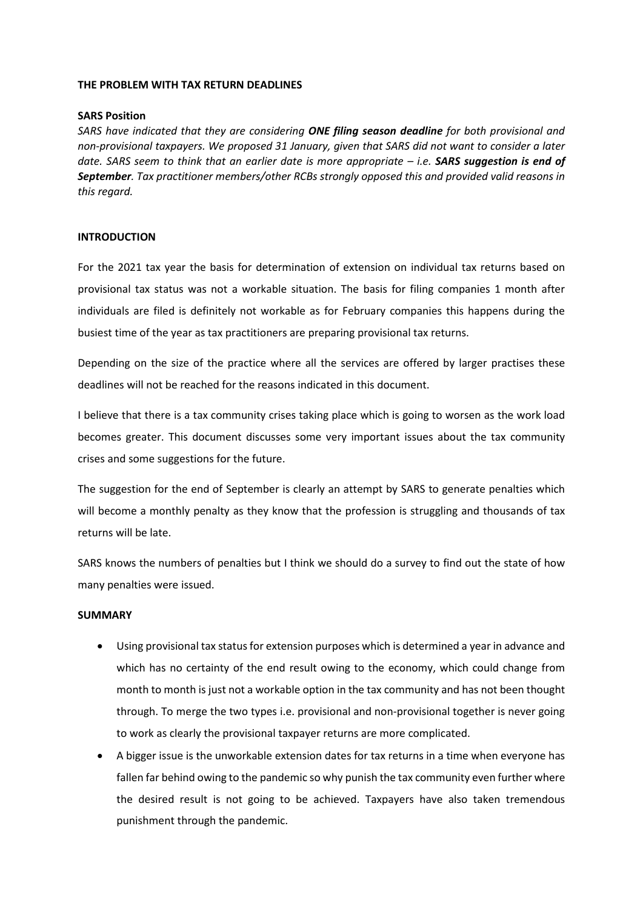#### **THE PROBLEM WITH TAX RETURN DEADLINES**

### **SARS Position**

*SARS have indicated that they are considering ONE filing season deadline for both provisional and non-provisional taxpayers. We proposed 31 January, given that SARS did not want to consider a later date. SARS seem to think that an earlier date is more appropriate – i.e. SARS suggestion is end of September. Tax practitioner members/other RCBs strongly opposed this and provided valid reasons in this regard.* 

## **INTRODUCTION**

For the 2021 tax year the basis for determination of extension on individual tax returns based on provisional tax status was not a workable situation. The basis for filing companies 1 month after individuals are filed is definitely not workable as for February companies this happens during the busiest time of the year as tax practitioners are preparing provisional tax returns.

Depending on the size of the practice where all the services are offered by larger practises these deadlines will not be reached for the reasons indicated in this document.

I believe that there is a tax community crises taking place which is going to worsen as the work load becomes greater. This document discusses some very important issues about the tax community crises and some suggestions for the future.

The suggestion for the end of September is clearly an attempt by SARS to generate penalties which will become a monthly penalty as they know that the profession is struggling and thousands of tax returns will be late.

SARS knows the numbers of penalties but I think we should do a survey to find out the state of how many penalties were issued.

#### **SUMMARY**

- Using provisional tax status for extension purposes which is determined a year in advance and which has no certainty of the end result owing to the economy, which could change from month to month is just not a workable option in the tax community and has not been thought through. To merge the two types i.e. provisional and non-provisional together is never going to work as clearly the provisional taxpayer returns are more complicated.
- A bigger issue is the unworkable extension dates for tax returns in a time when everyone has fallen far behind owing to the pandemic so why punish the tax community even further where the desired result is not going to be achieved. Taxpayers have also taken tremendous punishment through the pandemic.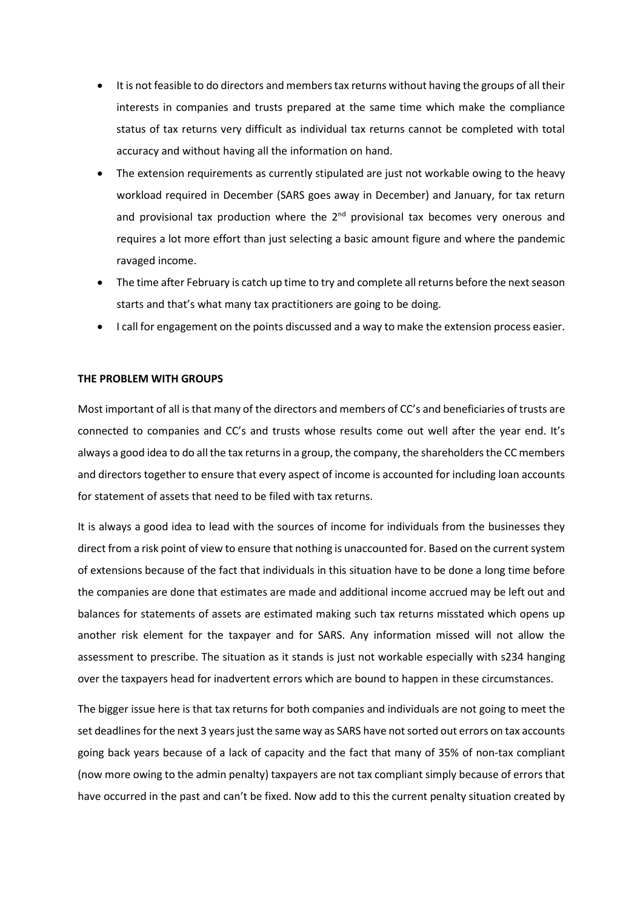- It is not feasible to do directors and members tax returns without having the groups of all their interests in companies and trusts prepared at the same time which make the compliance status of tax returns very difficult as individual tax returns cannot be completed with total accuracy and without having all the information on hand.
- The extension requirements as currently stipulated are just not workable owing to the heavy workload required in December (SARS goes away in December) and January, for tax return and provisional tax production where the  $2<sup>nd</sup>$  provisional tax becomes very onerous and requires a lot more effort than just selecting a basic amount figure and where the pandemic ravaged income.
- The time after February is catch up time to try and complete all returns before the next season starts and that's what many tax practitioners are going to be doing.
- I call for engagement on the points discussed and a way to make the extension process easier.

## **THE PROBLEM WITH GROUPS**

Most important of all is that many of the directors and members of CC's and beneficiaries of trusts are connected to companies and CC's and trusts whose results come out well after the year end. It's always a good idea to do all the tax returns in a group, the company, the shareholders the CC members and directors together to ensure that every aspect of income is accounted for including loan accounts for statement of assets that need to be filed with tax returns.

It is always a good idea to lead with the sources of income for individuals from the businesses they direct from a risk point of view to ensure that nothing is unaccounted for. Based on the current system of extensions because of the fact that individuals in this situation have to be done a long time before the companies are done that estimates are made and additional income accrued may be left out and balances for statements of assets are estimated making such tax returns misstated which opens up another risk element for the taxpayer and for SARS. Any information missed will not allow the assessment to prescribe. The situation as it stands is just not workable especially with s234 hanging over the taxpayers head for inadvertent errors which are bound to happen in these circumstances.

The bigger issue here is that tax returns for both companies and individuals are not going to meet the set deadlines for the next 3 years just the same way as SARS have not sorted out errors on tax accounts going back years because of a lack of capacity and the fact that many of 35% of non-tax compliant (now more owing to the admin penalty) taxpayers are not tax compliant simply because of errors that have occurred in the past and can't be fixed. Now add to this the current penalty situation created by